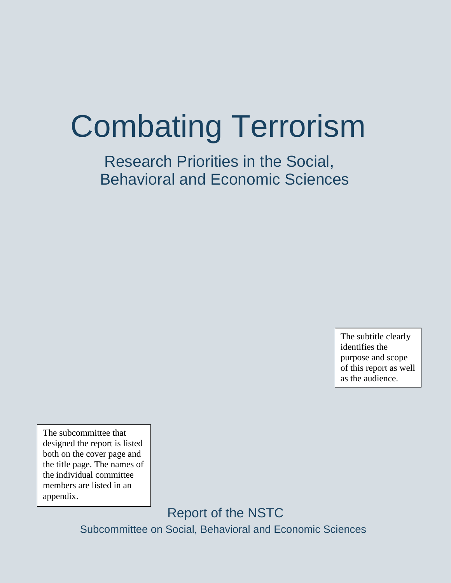# Combating Terrorism

Research Priorities in the Social, Behavioral and Economic Sciences

> The subtitle clearly identifies the purpose and scope of this report as well as the audience.

The subcommittee that designed the report is listed both on the cover page and the title page. The names of the individual committee members are listed in an appendix.

> Report of the NSTC Subcommittee on Social, Behavioral and Economic Sciences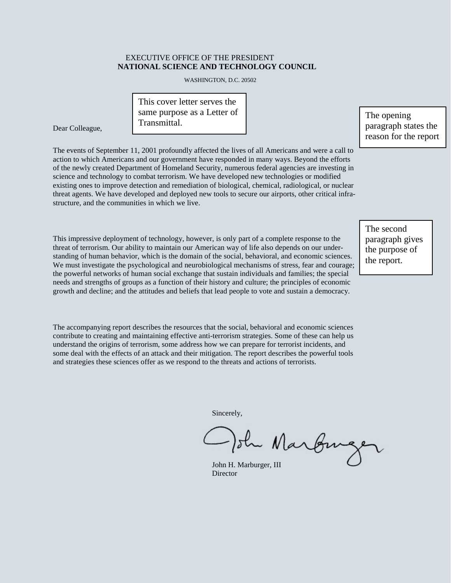#### EXECUTIVE OFFICE OF THE PRESIDENT **NATIONAL SCIENCE AND TECHNOLOGY COUNCIL**

WASHINGTON, D.C. 20502

This cover letter serves the same purpose as a Letter of Transmittal.

Dear Colleague,

The events of September 11, 2001 profoundly affected the lives of all Americans and were a call to action to which Americans and our government have responded in many ways. Beyond the efforts of the newly created Department of Homeland Security, numerous federal agencies are investing in science and technology to combat terrorism. We have developed new technologies or modified existing ones to improve detection and remediation of biological, chemical, radiological, or nuclear threat agents. We have developed and deployed new tools to secure our airports, other critical infrastructure, and the communities in which we live.

This impressive deployment of technology, however, is only part of a complete response to the threat of terrorism. Our ability to maintain our American way of life also depends on our understanding of human behavior, which is the domain of the social, behavioral, and economic sciences. We must investigate the psychological and neurobiological mechanisms of stress, fear and courage; the powerful networks of human social exchange that sustain individuals and families; the special needs and strengths of groups as a function of their history and culture; the principles of economic growth and decline; and the attitudes and beliefs that lead people to vote and sustain a democracy.

The second paragraph gives the purpose of the report.

The accompanying report describes the resources that the social, behavioral and economic sciences contribute to creating and maintaining effective anti-terrorism strategies. Some of these can help us understand the origins of terrorism, some address how we can prepare for terrorist incidents, and some deal with the effects of an attack and their mitigation. The report describes the powerful tools and strategies these sciences offer as we respond to the threats and actions of terrorists.

Sincerely,

sh Marburg

John H. Marburger, III Director

paragraph states the reason for the report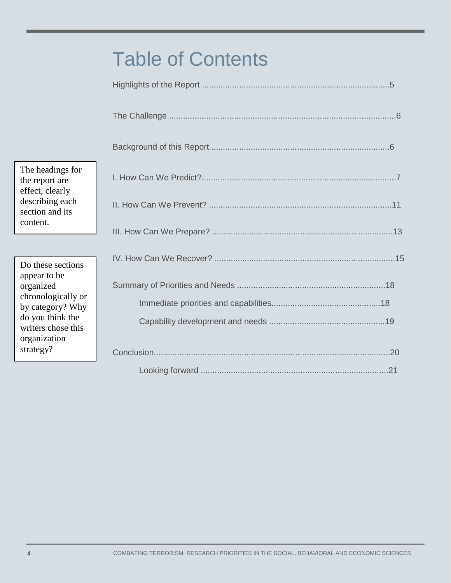## Table of Contents

| The headings for<br>the report are<br>effect, clearly                                                                         |  |
|-------------------------------------------------------------------------------------------------------------------------------|--|
| describing each<br>section and its                                                                                            |  |
| content.                                                                                                                      |  |
| Do these sections                                                                                                             |  |
| appear to be<br>organized<br>chronologically or<br>by category? Why<br>do you think the<br>writers chose this<br>organization |  |
| strategy?                                                                                                                     |  |
|                                                                                                                               |  |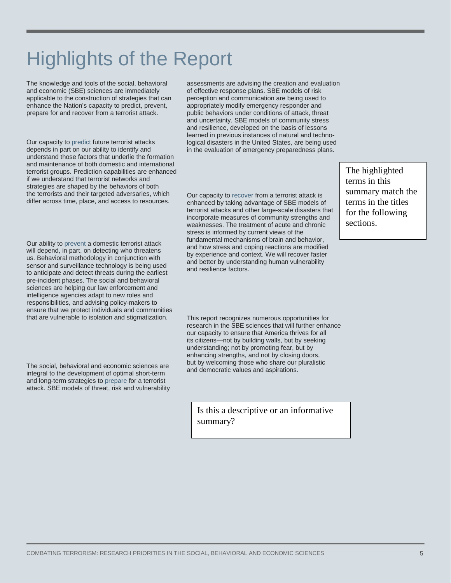# Highlights of the Report

The knowledge and tools of the social, behavioral and economic (SBE) sciences are immediately applicable to the construction of strategies that can enhance the Nation's capacity to predict, prevent, prepare for and recover from a terrorist attack.

Our capacity to predict future terrorist attacks depends in part on our ability to identify and understand those factors that underlie the formation and maintenance of both domestic and international terrorist groups. Prediction capabilities are enhanced if we understand that terrorist networks and strategies are shaped by the behaviors of both the terrorists and their targeted adversaries, which differ across time, place, and access to resources.

Our ability to prevent a domestic terrorist attack will depend, in part, on detecting who threatens us. Behavioral methodology in conjunction with sensor and surveillance technology is being used to anticipate and detect threats during the earliest pre-incident phases. The social and behavioral sciences are helping our law enforcement and intelligence agencies adapt to new roles and responsibilities, and advising policy-makers to ensure that we protect individuals and communities that are vulnerable to isolation and stigmatization.

The social, behavioral and economic sciences are integral to the development of optimal short-term and long-term strategies to prepare for a terrorist attack. SBE models of threat, risk and vulnerability assessments are advising the creation and evaluation of effective response plans. SBE models of risk perception and communication are being used to appropriately modify emergency responder and public behaviors under conditions of attack, threat and uncertainty. SBE models of community stress and resilience, developed on the basis of lessons learned in previous instances of natural and technological disasters in the United States, are being used in the evaluation of emergency preparedness plans.

Our capacity to recover from a terrorist attack is enhanced by taking advantage of SBE models of terrorist attacks and other large-scale disasters that incorporate measures of community strengths and weaknesses. The treatment of acute and chronic stress is informed by current views of the fundamental mechanisms of brain and behavior, and how stress and coping reactions are modified by experience and context. We will recover faster and better by understanding human vulnerability and resilience factors.

The highlighted terms in this summary match the terms in the titles for the following sections.

This report recognizes numerous opportunities for research in the SBE sciences that will further enhance our capacity to ensure that America thrives for all its citizens—not by building walls, but by seeking understanding; not by promoting fear, but by enhancing strengths, and not by closing doors, but by welcoming those who share our pluralistic and democratic values and aspirations.

Is this a descriptive or an informative summary?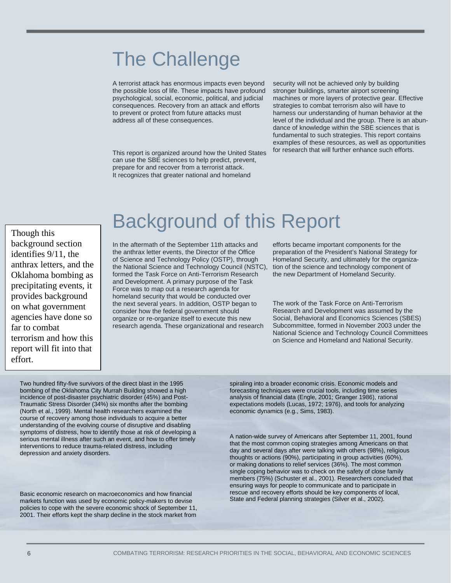### The Challenge

A terrorist attack has enormous impacts even beyond the possible loss of life. These impacts have profound psychological, social, economic, political, and judicial consequences. Recovery from an attack and efforts to prevent or protect from future attacks must address all of these consequences.

This report is organized around how the United States can use the SBE sciences to help predict, prevent, prepare for and recover from a terrorist attack. It recognizes that greater national and homeland

security will not be achieved only by building stronger buildings, smarter airport screening machines or more layers of protective gear. Effective strategies to combat terrorism also will have to harness our understanding of human behavior at the level of the individual and the group. There is an abundance of knowledge within the SBE sciences that is fundamental to such strategies. This report contains examples of these resources, as well as opportunities for research that will further enhance such efforts.

Though this background section identifies 9/11, the anthrax letters, and the Oklahoma bombing as precipitating events, it provides background on what government agencies have done so far to combat terrorism and how this report will fit into that effort.

### Background of this Report

In the aftermath of the September 11th attacks and the anthrax letter events, the Director of the Office of Science and Technology Policy (OSTP), through the National Science and Technology Council (NSTC), formed the Task Force on Anti-Terrorism Research and Development. A primary purpose of the Task Force was to map out a research agenda for homeland security that would be conducted over the next several years. In addition, OSTP began to consider how the federal government should organize or re-organize itself to execute this new research agenda. These organizational and research

efforts became important components for the preparation of the President's National Strategy for Homeland Security, and ultimately for the organization of the science and technology component of the new Department of Homeland Security.

The work of the Task Force on Anti-Terrorism Research and Development was assumed by the Social, Behavioral and Economics Sciences (SBES) Subcommittee, formed in November 2003 under the National Science and Technology Council Committees on Science and Homeland and National Security.

Two hundred fifty-five survivors of the direct blast in the 1995 bombing of the Oklahoma City Murrah Building showed a high incidence of post-disaster psychiatric disorder (45%) and Post-Traumatic Stress Disorder (34%) six months after the bombing (North et al., 1999). Mental health researchers examined the course of recovery among those individuals to acquire a better understanding of the evolving course of disruptive and disabling symptoms of distress, how to identify those at risk of developing a serious mental illness after such an event, and how to offer timely interventions to reduce trauma-related distress, including depression and anxiety disorders.

Basic economic research on macroeconomics and how financial markets function was used by economic policy-makers to devise policies to cope with the severe economic shock of September 11, 2001. Their efforts kept the sharp decline in the stock market from

spiraling into a broader economic crisis. Economic models and forecasting techniques were crucial tools, including time series analysis of financial data (Engle, 2001; Granger 1986), rational expectations models (Lucas, 1972; 1976), and tools for analyzing economic dynamics (e.g., Sims, 1983).

A nation-wide survey of Americans after September 11, 2001, found that the most common coping strategies among Americans on that day and several days after were talking with others (98%), religious thoughts or actions (90%), participating in group activities (60%), or making donations to relief services (36%). The most common single coping behavior was to check on the safety of close family members (75%) (Schuster et al., 2001). Researchers concluded that ensuring ways for people to communicate and to participate in rescue and recovery efforts should be key components of local, State and Federal planning strategies (Silver et al., 2002).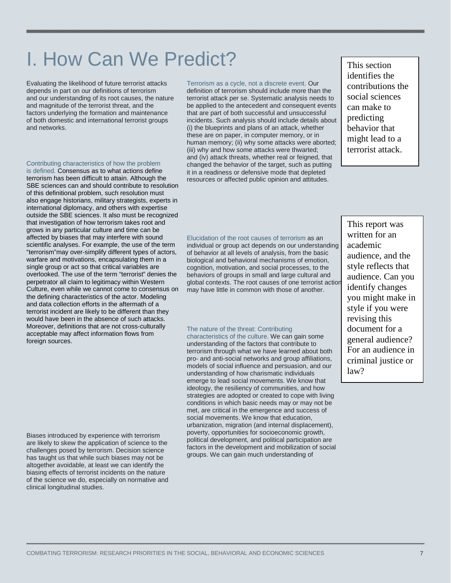of both domestic and international terrorist groups and networks. Contributing characteristics of how the problem is defined. Consensus as to what actions define terrorism has been difficult to attain. Although the SBE sciences can and should contribute to resolution of this definitional problem, such resolution must also engage historians, military strategists, experts in international diplomacy, and others with expertise outside the SBE sciences. It also must be recognized that investigation of how terrorism takes root and grows in any particular culture and time can be affected by biases that may interfere with sound scientific analyses. For example, the use of the term "terrorism"may over-simplify different types of actors, warfare and motivations, encapsulating them in a single group or act so that critical variables are overlooked. The use of the term "terrorist" denies the perpetrator all claim to legitimacy within Western Culture, even while we cannot come to consensus on the defining characteristics of the actor. Modeling and data collection efforts in the aftermath of a

terrorist incident are likely to be different than they would have been in the absence of such attacks. Moreover, definitions that are not cross-culturally acceptable may affect information flows from

Biases introduced by experience with terrorism are likely to skew the application of science to the challenges posed by terrorism. Decision science has taught us that while such biases may not be altogether avoidable, at least we can identify the biasing effects of terrorist incidents on the nature of the science we do, especially on normative and

clinical longitudinal studies.

foreign sources.

Evaluating the likelihood of future terrorist attacks depends in part on our definitions of terrorism and our understanding of its root causes, the nature and magnitude of the terrorist threat, and the factors underlying the formation and maintenance

I. How Can We Predict?

terrorist attack per se. Systematic analysis needs to

be applied to the antecedent and consequent events that are part of both successful and unsuccessful incidents. Such analysis should include details about (i) the blueprints and plans of an attack, whether these are on paper, in computer memory, or in human memory; (ii) why some attacks were aborted; (iii) why and how some attacks were thwarted; and (iv) attack threats, whether real or feigned, that changed the behavior of the target, such as putting it in a readiness or defensive mode that depleted resources or affected public opinion and attitudes.

Terrorism as a cycle, not a discrete event. Our definition of terrorism should include more than the This section identifies the contributions the social sciences can make to predicting behavior that might lead to a terrorist attack.

Elucidation of the root causes of terrorism as an individual or group act depends on our understanding of behavior at all levels of analysis, from the basic biological and behavioral mechanisms of emotion, cognition, motivation, and social processes, to the behaviors of groups in small and large cultural and global contexts. The root causes of one terrorist action may have little in common with those of another.

#### The nature of the threat: Contributing

characteristics of the culture. We can gain some understanding of the factors that contribute to terrorism through what we have learned about both pro- and anti-social networks and group affiliations, models of social influence and persuasion, and our understanding of how charismatic individuals emerge to lead social movements. We know that ideology, the resiliency of communities, and how strategies are adopted or created to cope with living conditions in which basic needs may or may not be met, are critical in the emergence and success of social movements. We know that education, urbanization, migration (and internal displacement), poverty, opportunities for socioeconomic growth, political development, and political participation are factors in the development and mobilization of social groups. We can gain much understanding of

This report was written for an academic audience, and the style reflects that audience. Can you identify changes you might make in style if you were revising this document for a general audience? For an audience in criminal justice or law?

COMBATING TERRORISM: RESEARCH PRIORITIES IN THE SOCIAL, BEHAVIORAL AND ECONOMIC SCIENCES 7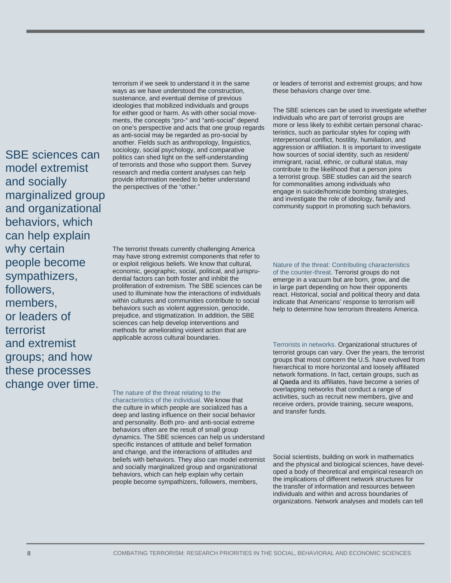SBE sciences can model extremist and socially marginalized group and organizational behaviors, which can help explain why certain people become sympathizers, followers, members, or leaders of terrorist and extremist groups; and how these processes change over time.

terrorism if we seek to understand it in the same ways as we have understood the construction, sustenance, and eventual demise of previous ideologies that mobilized individuals and groups for either good or harm. As with other social movements, the concepts "pro-" and "anti-social" depend on one's perspective and acts that one group regards as anti-social may be regarded as pro-social by another. Fields such as anthropology, linguistics, sociology, social psychology, and comparative politics can shed light on the self-understanding of terrorists and those who support them. Survey research and media content analyses can help provide information needed to better understand the perspectives of the "other."

or leaders of terrorist and extremist groups; and how these behaviors change over time.

The SBE sciences can be used to investigate whether individuals who are part of terrorist groups are more or less likely to exhibit certain personal characteristics, such as particular styles for coping with interpersonal conflict, hostility, humiliation, and aggression or affiliation. It is important to investigate how sources of social identity, such as resident/ immigrant, racial, ethnic, or cultural status, may contribute to the likelihood that a person joins a terrorist group. SBE studies can aid the search for commonalities among individuals who engage in suicide/homicide bombing strategies, and investigate the role of ideology, family and community support in promoting such behaviors.

The terrorist threats currently challenging America may have strong extremist components that refer to or exploit religious beliefs. We know that cultural, economic, geographic, social, political, and jurisprudential factors can both foster and inhibit the proliferation of extremism. The SBE sciences can be used to illuminate how the interactions of individuals within cultures and communities contribute to social behaviors such as violent aggression, genocide, prejudice, and stigmatization. In addition, the SBE sciences can help develop interventions and methods for ameliorating violent action that are applicable across cultural boundaries.

Nature of the threat: Contributing characteristics of the counter-threat. Terrorist groups do not emerge in a vacuum but are born, grow, and die in large part depending on how their opponents react. Historical, social and political theory and data indicate that Americans' response to terrorism will help to determine how terrorism threatens America.

Terrorists in networks. Organizational structures of terrorist groups can vary. Over the years, the terrorist groups that most concern the U.S. have evolved from hierarchical to more horizontal and loosely affiliated network formations. In fact, certain groups, such as al Qaeda and its affiliates, have become a series of overlapping networks that conduct a range of activities, such as recruit new members, give and receive orders, provide training, secure weapons, and transfer funds.

The nature of the threat relating to the characteristics of the individual. We know that the culture in which people are socialized has a deep and lasting influence on their social behavior and personality. Both pro- and anti-social extreme behaviors often are the result of small group dynamics. The SBE sciences can help us understand specific instances of attitude and belief formation and change, and the interactions of attitudes and beliefs with behaviors. They also can model extremist and socially marginalized group and organizational behaviors, which can help explain why certain people become sympathizers, followers, members,

Social scientists, building on work in mathematics and the physical and biological sciences, have developed a body of theoretical and empirical research on the implications of different network structures for the transfer of information and resources between individuals and within and across boundaries of organizations. Network analyses and models can tell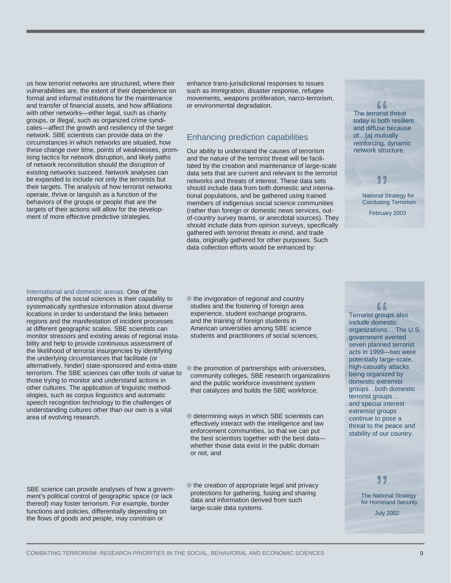us how terrorist networks are structured, where their vulnerabilities are, the extent of their dependence on formal and informal institutions for the maintenance and transfer of financial assets, and how affiliations with other networks—either legal, such as charity groups, or illegal, such as organized crime syndicates—affect the growth and resiliency of the target network. SBE scientists can provide data on the circumstances in which networks are situated, how these change over time, points of weaknesses, promising tactics for network disruption, and likely paths of network reconstitution should the disruption of existing networks succeed. Network analyses can be expanded to include not only the terrorists but their targets. The analysis of how terrorist networks operate, thrive or languish as a function of the behaviors of the groups or people that are the targets of their actions will allow for the development of more effective predictive strategies.

enhance trans-jurisdictional responses to issues such as immigration, disaster response, refugee movements, weapons proliferation, narco-terrorism, or environmental degradation.

#### Enhancing prediction capabilities

Our ability to understand the causes of terrorism and the nature of the terrorist threat will be facilitated by the creation and maintenance of large-scale data sets that are current and relevant to the terrorist networks and threats of interest. These data sets should include data from both domestic and international populations, and be gathered using trained members of indigenous social science communities (rather than foreign or domestic news services, outof-country survey teams, or anecdotal sources). They should include data from opinion surveys, specifically gathered with terrorist threats in mind, and trade data, originally gathered for other purposes. Such data collection efforts would be enhanced by:

The terrorist threat today is both resilient and diffuse because of…[a] mutually reinforcing, dynamic network structure. records<br>
torist<br>
total<br>
total

> **JJ**<br>nal S<br>pating National Strategy for Combating Terrorism

February 2003

International and domestic arenas. One of the strengths of the social sciences is their capability to systematically synthesize information about diverse locations in order to understand the links between regions and the manifestation of incident processes at different geographic scales. SBE scientists can monitor stressors and existing areas of regional instability and help to provide continuous assessment of the likelihood of terrorist insurgencies by identifying the underlying circumstances that facilitate (or alternatively, hinder) state-sponsored and extra-state terrorism. The SBE sciences can offer tools of value to those trying to monitor and understand actions in other cultures. The application of linguistic methodologies, such as corpus linguistics and automatic speech recognition technology to the challenges of understanding cultures other than our own is a vital area of evolving research.

SBE science can provide analyses of how a government's political control of geographic space (or lack thereof) may foster terrorism. For example, border functions and policies, differentially depending on the flows of goods and people, may constrain or

® the invigoration of regional and country studies and the fostering of foreign area experience, student exchange programs, and the training of foreign students in American universities among SBE science students and practitioners of social sciences;

® the promotion of partnerships with universities, community colleges, SBE research organizations and the public workforce investment system that catalyzes and builds the SBE workforce;

® determining ways in which SBE scientists can effectively interact with the intelligence and law enforcement communities, so that we can put the best scientists together with the best data whether those data exist in the public domain or not, and

® the creation of appropriate legal and privacy protections for gathering, fusing and sharing data and information derived from such large-scale data systems.

"<br>
grou<br>
pme:<br>
ions Terrorist groups also include domestic organizations… The U.S. government averted seven planned terrorist acts in 1999—two were potentially large-scale, high-casualty attacks being organized by domestic extremist groups…both domestic terrorist groups… and special interest extremist groups continue to pose a threat to the peace and stability of our country.

> The National Strategy The National Strategy<br>
> for Homeland Security

> > July 2002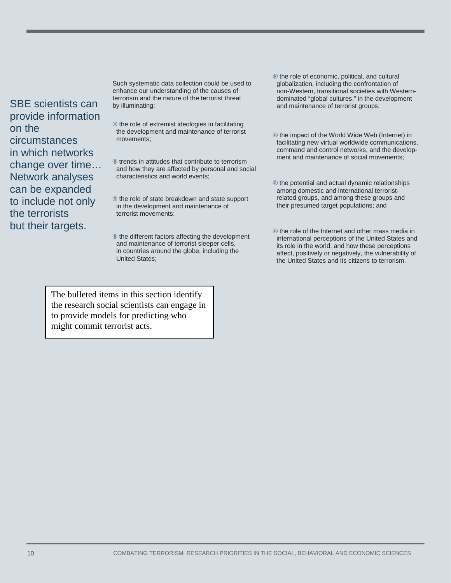SBE scientists can provide information on the circumstances in which networks change over time… Network analyses can be expanded to include not only the terrorists but their targets.

Such systematic data collection could be used to enhance our understanding of the causes of terrorism and the nature of the terrorist threat by illuminating:

- ® the role of extremist ideologies in facilitating the development and maintenance of terrorist movements;
- ® trends in attitudes that contribute to terrorism and how they are affected by personal and social characteristics and world events;
- ® the role of state breakdown and state support in the development and maintenance of terrorist movements;

® the different factors affecting the development and maintenance of terrorist sleeper cells, in countries around the globe, including the United States;

The bulleted items in this section identify the research social scientists can engage in to provide models for predicting who might commit terrorist acts.

- ® the role of economic, political, and cultural globalization, including the confrontation of non-Western, transitional societies with Western dominated "global cultures," in the development and maintenance of terrorist groups;
- ® the impact of the World Wide Web (Internet) in facilitating new virtual worldwide communications, command and control networks, and the develop ment and maintenance of social movements;
- ® the potential and actual dynamic relationships among domestic and international terrorist related groups, and among these groups and their presumed target populations; and
- ® the role of the Internet and other mass media in international perceptions of the United States and its role in the world, and how these perceptions affect, positively or negatively, the vulnerability of the United States and its citizens to terrorism.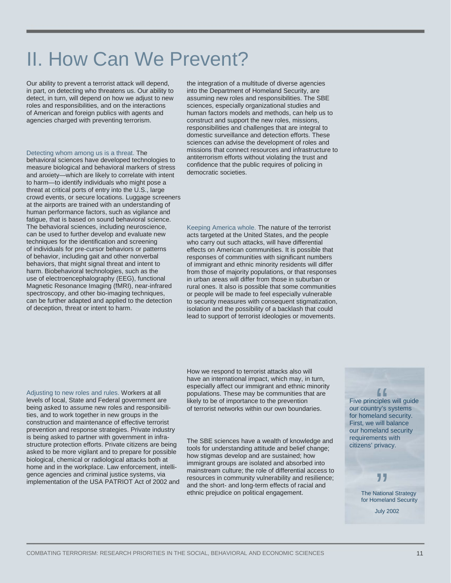### II. How Can We Prevent?

Our ability to prevent a terrorist attack will depend, in part, on detecting who threatens us. Our ability to detect, in turn, will depend on how we adjust to new roles and responsibilities, and on the interactions of American and foreign publics with agents and agencies charged with preventing terrorism.

#### Detecting whom among us is a threat. The

behavioral sciences have developed technologies to measure biological and behavioral markers of stress and anxiety—which are likely to correlate with intent to harm—to identify individuals who might pose a threat at critical ports of entry into the U.S., large crowd events, or secure locations. Luggage screeners at the airports are trained with an understanding of human performance factors, such as vigilance and fatigue, that is based on sound behavioral science. The behavioral sciences, including neuroscience, can be used to further develop and evaluate new techniques for the identification and screening of individuals for pre-cursor behaviors or patterns of behavior, including gait and other nonverbal behaviors, that might signal threat and intent to harm. Biobehavioral technologies, such as the use of electroencephalography (EEG), functional Magnetic Resonance Imaging (fMRI), near-infrared spectroscopy, and other bio-imaging techniques, can be further adapted and applied to the detection of deception, threat or intent to harm.

the integration of a multitude of diverse agencies into the Department of Homeland Security, are assuming new roles and responsibilities. The SBE sciences, especially organizational studies and human factors models and methods, can help us to construct and support the new roles, missions, responsibilities and challenges that are integral to domestic surveillance and detection efforts. These sciences can advise the development of roles and missions that connect resources and infrastructure to antiterrorism efforts without violating the trust and confidence that the public requires of policing in democratic societies.

Keeping America whole. The nature of the terrorist acts targeted at the United States, and the people who carry out such attacks, will have differential effects on American communities. It is possible that responses of communities with significant numbers of immigrant and ethnic minority residents will differ from those of majority populations, or that responses in urban areas will differ from those in suburban or rural ones. It also is possible that some communities or people will be made to feel especially vulnerable to security measures with consequent stigmatization, isolation and the possibility of a backlash that could lead to support of terrorist ideologies or movements.

Adjusting to new roles and rules. Workers at all levels of local, State and Federal government are being asked to assume new roles and responsibilities, and to work together in new groups in the construction and maintenance of effective terrorist prevention and response strategies. Private industry is being asked to partner with government in infrastructure protection efforts. Private citizens are being asked to be more vigilant and to prepare for possible biological, chemical or radiological attacks both at home and in the workplace. Law enforcement, intelligence agencies and criminal justice systems, via implementation of the USA PATRIOT Act of 2002 and How we respond to terrorist attacks also will have an international impact, which may, in turn, especially affect our immigrant and ethnic minority populations. These may be communities that are likely to be of importance to the prevention of terrorist networks within our own boundaries.

The SBE sciences have a wealth of knowledge and tools for understanding attitude and belief change; how stigmas develop and are sustained; how immigrant groups are isolated and absorbed into mainstream culture; the role of differential access to resources in community vulnerability and resilience; and the short- and long-term effects of racial and ethnic prejudice on political engagement.

Five principles will guide our country's systems for homeland security. First, we will balance our homeland security requirements with citizens' privacy.  $f$ <br>  $\frac{f}{f}$ <br>  $\frac{f}{f}$ <br>  $\frac{f}{f}$ <br>  $\frac{f}{f}$ <br>  $\frac{f}{f}$ <br>  $\frac{f}{f}$ <br>  $\frac{f}{f}$ <br>  $\frac{f}{f}$ <br>  $\frac{f}{f}$ <br>  $\frac{f}{f}$ <br>  $\frac{f}{f}$ <br>  $\frac{f}{f}$ <br>  $\frac{f}{f}$ <br>  $\frac{f}{f}$ <br>  $\frac{f}{f}$ 

### "

The National Strategy for Homeland Security

July 2002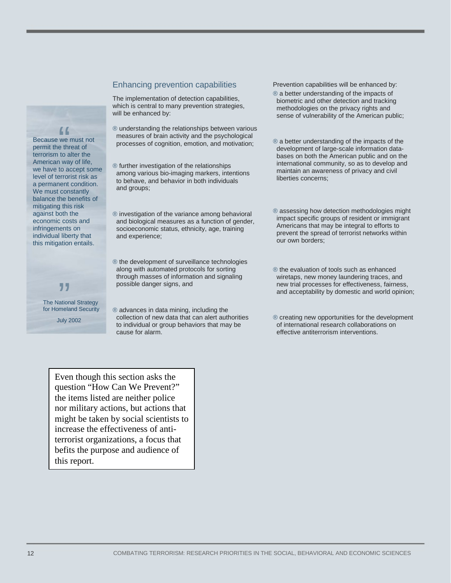#### Enhancing prevention capabilities

The implementation of detection capabilities, which is central to many prevention strategies, will be enhanced by:

- ® understanding the relationships between various measures of brain activity and the psychological processes of cognition, emotion, and motivation;
- ® further investigation of the relationships among various bio-imaging markers, intentions to behave, and behavior in both individuals and groups;

® investigation of the variance among behavioral and biological measures as a function of gender, socioeconomic status, ethnicity, age, training and experience;

® the development of surveillance technologies along with automated protocols for sorting through masses of information and signaling possible danger signs, and

® advances in data mining, including the collection of new data that can alert authorities to individual or group behaviors that may be cause for alarm.

Even though this section asks the question "How Can We Prevent?" the items listed are neither police nor military actions, but actions that might be taken by social scientists to increase the effectiveness of antiterrorist organizations, a focus that befits the purpose and audience of this report.

Prevention capabilities will be enhanced by:

- ® a better understanding of the impacts of biometric and other detection and tracking methodologies on the privacy rights and sense of vulnerability of the American public;
- ® a better understanding of the impacts of the development of large-scale information data bases on both the American public and on the international community, so as to develop and maintain an awareness of privacy and civil liberties concerns;
- ® assessing how detection methodologies might impact specific groups of resident or immigrant Americans that may be integral to efforts to prevent the spread of terrorist networks within our own borders;
- ® the evaluation of tools such as enhanced wiretaps, new money laundering traces, and new trial processes for effectiveness, fairness, and acceptability by domestic and world opinion;
- ® creating new opportunities for the development of international research collaborations on effective antiterrorism interventions.

#### Because we must not permit the threat of terrorism to alter the American way of life, we have to accept some level of terrorist risk as a permanent condition. We must constantly balance the benefits of mitigating this risk against both the economic costs and infringements on individual liberty that this mitigation entails.  $\begin{bmatrix} 1 \\ 1 \\ 2 \\ 3 \\ 4 \\ 5 \\ 1 \end{bmatrix}$

The National Strategy for Homeland Security July 2002 **JJ**<br>ation<br>mela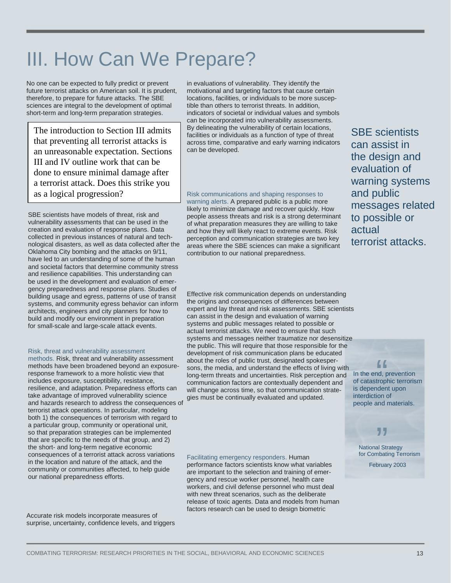## III. How Can We Prepare?

No one can be expected to fully predict or prevent future terrorist attacks on American soil. It is prudent, therefore, to prepare for future attacks. The SBE sciences are integral to the development of optimal short-term and long-term preparation strategies.

The introduction to Section III admits that preventing all terrorist attacks is an unreasonable expectation. Sections III and IV outline work that can be done to ensure minimal damage after a terrorist attack. Does this strike you as a logical progression?

SBE scientists have models of threat, risk and vulnerability assessments that can be used in the creation and evaluation of response plans. Data collected in previous instances of natural and technological disasters, as well as data collected after the Oklahoma City bombing and the attacks on 9/11, have led to an understanding of some of the human and societal factors that determine community stress and resilience capabilities. This understanding can be used in the development and evaluation of emergency preparedness and response plans. Studies of building usage and egress, patterns of use of transit systems, and community egress behavior can inform architects, engineers and city planners for how to build and modify our environment in preparation for small-scale and large-scale attack events.

#### Risk, threat and vulnerability assessment

methods. Risk, threat and vulnerability assessment methods have been broadened beyond an exposureresponse framework to a more holistic view that includes exposure, susceptibility, resistance, resilience, and adaptation. Preparedness efforts can take advantage of improved vulnerability science and hazards research to address the consequences of terrorist attack operations. In particular, modeling both 1) the consequences of terrorism with regard to a particular group, community or operational unit, so that preparation strategies can be implemented that are specific to the needs of that group, and 2) the short- and long-term negative economic consequences of a terrorist attack across variations in the location and nature of the attack, and the community or communities affected, to help guide our national preparedness efforts.

Accurate risk models incorporate measures of surprise, uncertainty, confidence levels, and triggers in evaluations of vulnerability. They identify the motivational and targeting factors that cause certain locations, facilities, or individuals to be more susceptible than others to terrorist threats. In addition, indicators of societal or individual values and symbols can be incorporated into vulnerability assessments. By delineating the vulnerability of certain locations, facilities or individuals as a function of type of threat across time, comparative and early warning indicators can be developed.

Risk communications and shaping responses to warning alerts. A prepared public is a public more likely to minimize damage and recover quickly. How people assess threats and risk is a strong determinant of what preparation measures they are willing to take and how they will likely react to extreme events. Risk perception and communication strategies are two key areas where the SBE sciences can make a significant contribution to our national preparedness.

SBE scientists can assist in the design and evaluation of warning systems and public messages related to possible or actual terrorist attacks.

Effective risk communication depends on understanding the origins and consequences of differences between expert and lay threat and risk assessments. SBE scientists can assist in the design and evaluation of warning systems and public messages related to possible or actual terrorist attacks. We need to ensure that such systems and messages neither traumatize nor desensitize the public. This will require that those responsible for the development of risk communication plans be educated about the roles of public trust, designated spokespersons, the media, and understand the effects of living with long-term threats and uncertainties. Risk perception and communication factors are contextually dependent and will change across time, so that communication strategies must be continually evaluated and updated.

Facilitating emergency responders. Human performance factors scientists know what variables are important to the selection and training of emergency and rescue worker personnel, health care workers, and civil defense personnel who must deal with new threat scenarios, such as the deliberate release of toxic agents. Data and models from human factors research can be used to design biometric

In the end, prevention of catastrophic terrorism is dependent upon interdiction of people and materials. ff<br>
nd, p<br>
tropl<br>
nden

National Strategy for Combating Terrorism **JJ**<br>al Sti<br>mbati

February 2003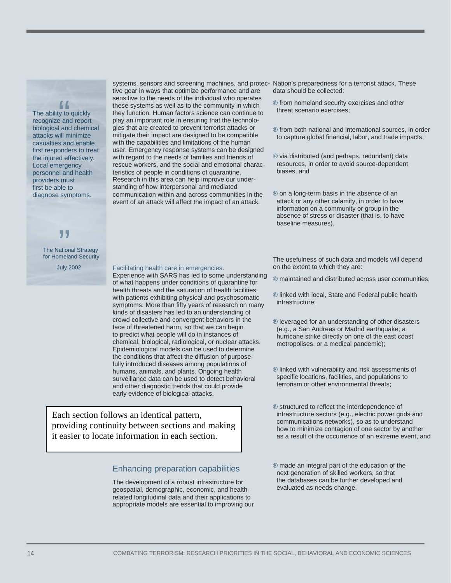The ability to quickly recognize and report biological and chemical attacks will minimize casualties and enable first responders to treat the injured effectively. Local emergency personnel and health providers must first be able to diagnose symptoms.

 $\begin{array}{c} \bigcap_{x} \ \text{A} \ \text{B} \ \text{C} \ \text{D} \ \text{D} \ \text{D} \ \text{A} \ \text{A} \ \text{A} \ \text{B} \ \text{C} \ \text{D} \ \text{A} \ \text{A} \ \text{A} \ \text{B} \ \text{A} \ \text{B} \ \text{A} \ \text{B} \ \text{A} \ \text{B} \ \text{A} \ \text{B} \ \text{B} \ \text{B} \ \text{B} \ \text{B} \ \text{B} \ \text{B} \ \text{B} \ \text{C} \ \text{A} \ \text{A} \ \text$ 

# **JJ**<br>ation<br>mela

The National Strategy for Homeland Security

July 2002

systems, sensors and screening machines, and protec-Nation's preparedness for a terrorist attack. These tive gear in ways that optimize performance and are sensitive to the needs of the individual who operates these systems as well as to the community in which they function. Human factors science can continue to play an important role in ensuring that the technologies that are created to prevent terrorist attacks or mitigate their impact are designed to be compatible with the capabilities and limitations of the human user. Emergency response systems can be designed with regard to the needs of families and friends of rescue workers, and the social and emotional characteristics of people in conditions of quarantine. Research in this area can help improve our understanding of how interpersonal and mediated communication within and across communities in the event of an attack will affect the impact of an attack.

data should be collected:

- ® from homeland security exercises and other threat scenario exercises;
- ® from both national and international sources, in order to capture global financial, labor, and trade impacts;
- ® via distributed (and perhaps, redundant) data resources, in order to avoid source-dependent biases, and
- ® on a long-term basis in the absence of an attack or any other calamity, in order to have information on a community or group in the absence of stress or disaster (that is, to have baseline measures).

#### Facilitating health care in emergencies.

Experience with SARS has led to some understanding of what happens under conditions of quarantine for health threats and the saturation of health facilities with patients exhibiting physical and psychosomatic symptoms. More than fifty years of research on many kinds of disasters has led to an understanding of crowd collective and convergent behaviors in the face of threatened harm, so that we can begin to predict what people will do in instances of chemical, biological, radiological, or nuclear attacks. Epidemiological models can be used to determine the conditions that affect the diffusion of purposefully introduced diseases among populations of humans, animals, and plants. Ongoing health surveillance data can be used to detect behavioral and other diagnostic trends that could provide early evidence of biological attacks.

Each section follows an identical pattern, providing continuity between sections and making it easier to locate information in each section.

#### Enhancing preparation capabilities

The development of a robust infrastructure for geospatial, demographic, economic, and healthrelated longitudinal data and their applications to appropriate models are essential to improving our The usefulness of such data and models will depend on the extent to which they are:

- ® maintained and distributed across user communities;
- ® linked with local, State and Federal public health infrastructure;
- ® leveraged for an understanding of other disasters (e.g., a San Andreas or Madrid earthquake; a hurricane strike directly on one of the east coast metropolises, or a medical pandemic);
- ® linked with vulnerability and risk assessments of specific locations, facilities, and populations to terrorism or other environmental threats;
- ® structured to reflect the interdependence of infrastructure sectors (e.g., electric power grids and communications networks), so as to understand how to minimize contagion of one sector by another as a result of the occurrence of an extreme event, and
- ® made an integral part of the education of the next generation of skilled workers, so that the databases can be further developed and evaluated as needs change.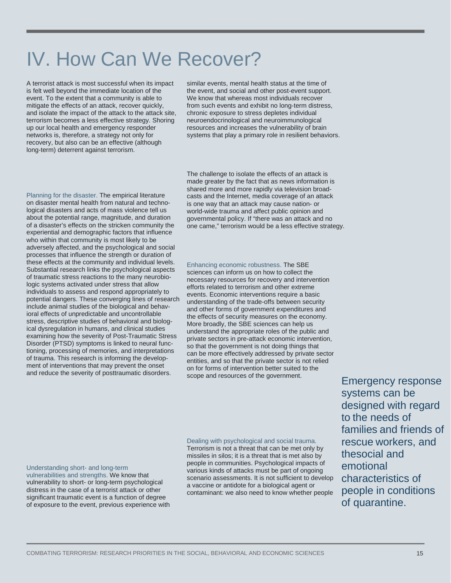### IV. How Can We Recover?

A terrorist attack is most successful when its impact is felt well beyond the immediate location of the event. To the extent that a community is able to mitigate the effects of an attack, recover quickly, and isolate the impact of the attack to the attack site, terrorism becomes a less effective strategy. Shoring up our local health and emergency responder networks is, therefore, a strategy not only for recovery, but also can be an effective (although long-term) deterrent against terrorism.

similar events, mental health status at the time of the event, and social and other post-event support. We know that whereas most individuals recover from such events and exhibit no long-term distress, chronic exposure to stress depletes individual neuroendocrinological and neuroimmunological resources and increases the vulnerability of brain systems that play a primary role in resilient behaviors.

Planning for the disaster. The empirical literature on disaster mental health from natural and technological disasters and acts of mass violence tell us about the potential range, magnitude, and duration of a disaster's effects on the stricken community the experiential and demographic factors that influence who within that community is most likely to be adversely affected, and the psychological and social processes that influence the strength or duration of these effects at the community and individual levels. Substantial research links the psychological aspects of traumatic stress reactions to the many neurobiologic systems activated under stress that allow individuals to assess and respond appropriately to potential dangers. These converging lines of research include animal studies of the biological and behavioral effects of unpredictable and uncontrollable stress, descriptive studies of behavioral and biological dysregulation in humans, and clinical studies examining how the severity of Post-Traumatic Stress Disorder (PTSD) symptoms is linked to neural functioning, processing of memories, and interpretations of trauma. This research is informing the development of interventions that may prevent the onset and reduce the severity of posttraumatic disorders.

The challenge to isolate the effects of an attack is made greater by the fact that as news information is shared more and more rapidly via television broadcasts and the Internet, media coverage of an attack is one way that an attack may cause nation- or world-wide trauma and affect public opinion and governmental policy. If "there was an attack and no one came," terrorism would be a less effective strategy.

Enhancing economic robustness. The SBE sciences can inform us on how to collect the necessary resources for recovery and intervention efforts related to terrorism and other extreme events. Economic interventions require a basic understanding of the trade-offs between security and other forms of government expenditures and the effects of security measures on the economy. More broadly, the SBE sciences can help us understand the appropriate roles of the public and private sectors in pre-attack economic intervention, so that the government is not doing things that can be more effectively addressed by private sector entities, and so that the private sector is not relied on for forms of intervention better suited to the scope and resources of the government.

#### Understanding short- and long-term

vulnerabilities and strengths. We know that vulnerability to short- or long-term psychological distress in the case of a terrorist attack or other significant traumatic event is a function of degree of exposure to the event, previous experience with Dealing with psychological and social trauma. Terrorism is not a threat that can be met only by missiles in silos; it is a threat that is met also by people in communities. Psychological impacts of various kinds of attacks must be part of ongoing scenario assessments. It is not sufficient to develop a vaccine or antidote for a biological agent or contaminant: we also need to know whether people

Emergency response systems can be designed with regard to the needs of families and friends of rescue workers, and thesocial and emotional characteristics of people in conditions of quarantine.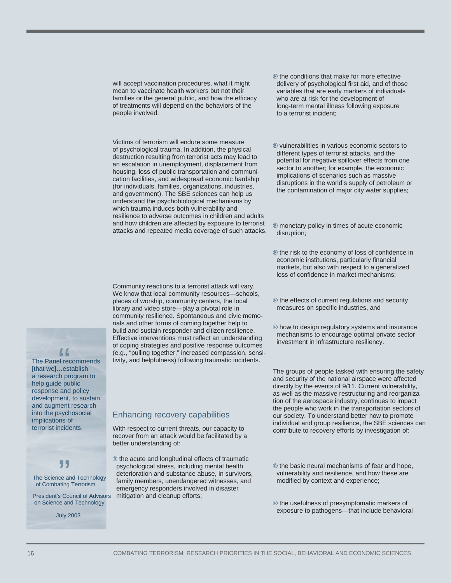will accept vaccination procedures, what it might mean to vaccinate health workers but not their families or the general public, and how the efficacy of treatments will depend on the behaviors of the people involved.

Victims of terrorism will endure some measure of psychological trauma. In addition, the physical destruction resulting from terrorist acts may lead to an escalation in unemployment, displacement from housing, loss of public transportation and communication facilities, and widespread economic hardship (for individuals, families, organizations, industries, and government). The SBE sciences can help us understand the psychobiological mechanisms by which trauma induces both vulnerability and resilience to adverse outcomes in children and adults and how children are affected by exposure to terrorist attacks and repeated media coverage of such attacks.

Community reactions to a terrorist attack will vary. We know that local community resources—schools, places of worship, community centers, the local library and video store—play a pivotal role in community resilience. Spontaneous and civic memorials and other forms of coming together help to build and sustain responder and citizen resilience. Effective interventions must reflect an understanding of coping strategies and positive response outcomes (e.g., "pulling together," increased compassion, sensitivity, and helpfulness) following traumatic incidents.

#### ® the conditions that make for more effective delivery of psychological first aid, and of those variables that are early markers of individuals who are at risk for the development of long-term mental illness following exposure to a terrorist incident;

® vulnerabilities in various economic sectors to different types of terrorist attacks, and the potential for negative spillover effects from one sector to another; for example, the economic implications of scenarios such as massive disruptions in the world's supply of petroleum or the contamination of major city water supplies;

® monetary policy in times of acute economic disruption;

- ® the risk to the economy of loss of confidence in economic institutions, particularly financial markets, but also with respect to a generalized loss of confidence in market mechanisms;
- ® the effects of current regulations and security measures on specific industries, and
- ® how to design regulatory systems and insurance mechanisms to encourage optimal private sector investment in infrastructure resiliency.

The groups of people tasked with ensuring the safety and security of the national airspace were affected directly by the events of 9/11. Current vulnerability, as well as the massive restructuring and reorganization of the aerospace industry, continues to impact the people who work in the transportation sectors of our society. To understand better how to promote individual and group resilience, the SBE sciences can contribute to recovery efforts by investigation of:

- ® the basic neural mechanisms of fear and hope, vulnerability and resilience, and how these are modified by context and experience;
- ® the usefulness of presymptomatic markers of exposure to pathogens—that include behavioral

[that we]...establish The Panel recommend<br>"[that we]...establish<br>"a research program to help guide public response and policy development, to sustain and augment research into the psychosocial implications of terrorist incidents.

The Panel recommends

" The Science and Technology of Combating Terrorism

President's Council of Advisors on Science and Technology

July 2003

#### Enhancing recovery capabilities

With respect to current threats, our capacity to recover from an attack would be facilitated by a better understanding of:

® the acute and longitudinal effects of traumatic psychological stress, including mental health deterioration and substance abuse, in survivors, family members, unendangered witnesses, and emergency responders involved in disaster mitigation and cleanup efforts;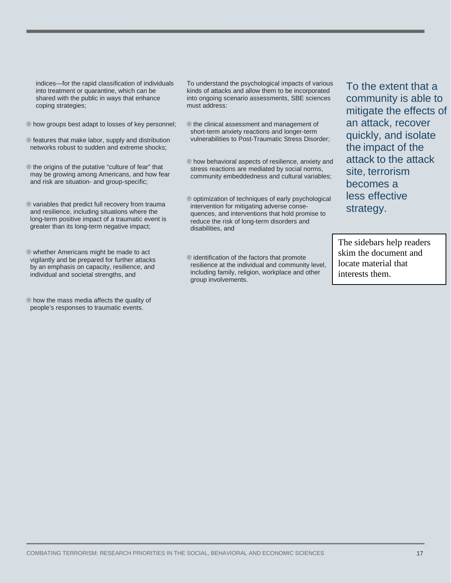indices—for the rapid classification of individuals into treatment or quarantine, which can be shared with the public in ways that enhance coping strategies;

- ® how groups best adapt to losses of key personnel;
- ® features that make labor, supply and distribution networks robust to sudden and extreme shocks;
- ® the origins of the putative "culture of fear" that may be growing among Americans, and how fear and risk are situation- and group-specific;
- ® variables that predict full recovery from trauma and resilience, including situations where the long-term positive impact of a traumatic event is greater than its long-term negative impact;
- ® whether Americans might be made to act vigilantly and be prepared for further attacks by an emphasis on capacity, resilience, and individual and societal strengths, and
- ® how the mass media affects the quality of people's responses to traumatic events.

To understand the psychological impacts of various kinds of attacks and allow them to be incorporated into ongoing scenario assessments, SBE sciences must address:

- ® the clinical assessment and management of short-term anxiety reactions and longer-term vulnerabilities to Post-Traumatic Stress Disorder;
- ® how behavioral aspects of resilience, anxiety and stress reactions are mediated by social norms, community embeddedness and cultural variables;
- ® optimization of techniques of early psychological intervention for mitigating adverse conse quences, and interventions that hold promise to reduce the risk of long-term disorders and disabilities, and
- ® identification of the factors that promote resilience at the individual and community level, including family, religion, workplace and other group involvements.

To the extent that a community is able to mitigate the effects of an attack, recover quickly, and isolate the impact of the attack to the attack site, terrorism becomes a less effective strategy.

The sidebars help readers skim the document and locate material that interests them.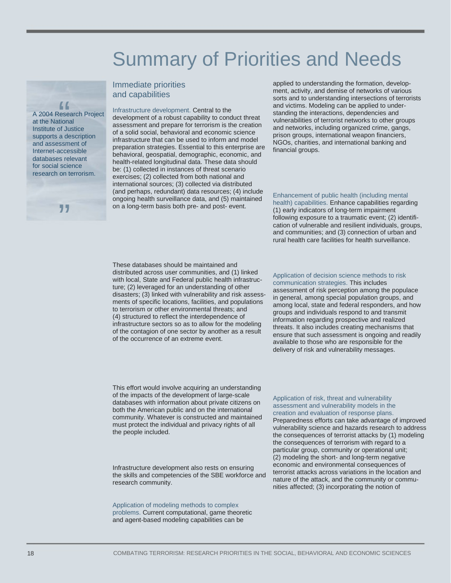### Summary of Priorities and Needs

#### Immediate priorities and capabilities

at the National Institute of Justice supports a description and assessment of Internet-accessible databases relevant for social science research on terrorism.

 $\begin{array}{c}\n 66 \\
 \hline\n \text{else} \\
 \text{tion}\n \end{array}$ 

75

A 2004 Research Project Infrastructure development. Central to the development of a robust capability to conduct threat assessment and prepare for terrorism is the creation of a solid social, behavioral and economic science infrastructure that can be used to inform and model preparation strategies. Essential to this enterprise are behavioral, geospatial, demographic, economic, and health-related longitudinal data. These data should be: (1) collected in instances of threat scenario exercises; (2) collected from both national and international sources; (3) collected via distributed (and perhaps, redundant) data resources; (4) include ongoing health surveillance data, and (5) maintained on a long-term basis both pre- and post- event.

applied to understanding the formation, development, activity, and demise of networks of various sorts and to understanding intersections of terrorists and victims. Modeling can be applied to understanding the interactions, dependencies and vulnerabilities of terrorist networks to other groups and networks, including organized crime, gangs, prison groups, international weapon financiers, NGOs, charities, and international banking and financial groups.

Enhancement of public health (including mental health) capabilities. Enhance capabilities regarding (1) early indicators of long-term impairment following exposure to a traumatic event; (2) identification of vulnerable and resilient individuals, groups, and communities; and (3) connection of urban and rural health care facilities for health surveillance.

These databases should be maintained and distributed across user communities, and (1) linked with local, State and Federal public health infrastructure; (2) leveraged for an understanding of other disasters; (3) linked with vulnerability and risk assessments of specific locations, facilities, and populations to terrorism or other environmental threats; and (4) structured to reflect the interdependence of infrastructure sectors so as to allow for the modeling of the contagion of one sector by another as a result of the occurrence of an extreme event.

Application of decision science methods to risk communication strategies. This includes assessment of risk perception among the populace in general, among special population groups, and among local, state and federal responders, and how groups and individuals respond to and transmit information regarding prospective and realized threats. It also includes creating mechanisms that ensure that such assessment is ongoing and readily available to those who are responsible for the delivery of risk and vulnerability messages.

This effort would involve acquiring an understanding of the impacts of the development of large-scale databases with information about private citizens on both the American public and on the international community. Whatever is constructed and maintained must protect the individual and privacy rights of all the people included.

Infrastructure development also rests on ensuring the skills and competencies of the SBE workforce and research community.

#### Application of modeling methods to complex problems. Current computational, game theoretic and agent-based modeling capabilities can be

Application of risk, threat and vulnerability assessment and vulnerability models in the creation and evaluation of response plans. Preparedness efforts can take advantage of improved vulnerability science and hazards research to address the consequences of terrorist attacks by (1) modeling the consequences of terrorism with regard to a particular group, community or operational unit; (2) modeling the short- and long-term negative economic and environmental consequences of terrorist attacks across variations in the location and nature of the attack, and the community or communities affected; (3) incorporating the notion of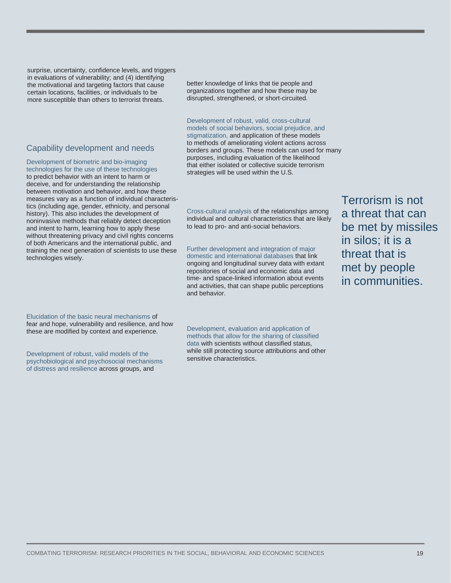surprise, uncertainty, confidence levels, and triggers in evaluations of vulnerability; and (4) identifying the motivational and targeting factors that cause certain locations, facilities, or individuals to be more susceptible than others to terrorist threats.

### Capability development and needs

Development of biometric and bio-imaging technologies for the use of these technologies to predict behavior with an intent to harm or deceive, and for understanding the relationship between motivation and behavior, and how these measures vary as a function of individual characteristics (including age, gender, ethnicity, and personal history). This also includes the development of noninvasive methods that reliably detect deception and intent to harm, learning how to apply these without threatening privacy and civil rights concerns of both Americans and the international public, and training the next generation of scientists to use these technologies wisely.

Elucidation of the basic neural mechanisms of fear and hope, vulnerability and resilience, and how these are modified by context and experience.

Development of robust, valid models of the psychobiological and psychosocial mechanisms of distress and resilience across groups, and

better knowledge of links that tie people and organizations together and how these may be disrupted, strengthened, or short-circuited.

#### Development of robust, valid, cross-cultural

models of social behaviors, social prejudice, and stigmatization, and application of these models to methods of ameliorating violent actions across borders and groups. These models can used for many purposes, including evaluation of the likelihood that either isolated or collective suicide terrorism strategies will be used within the U.S.

Cross-cultural analysis of the relationships among individual and cultural characteristics that are likely to lead to pro- and anti-social behaviors.

Further development and integration of major domestic and international databases that link ongoing and longitudinal survey data with extant repositories of social and economic data and time- and space-linked information about events and activities, that can shape public perceptions and behavior.

Terrorism is not a threat that can be met by missiles in silos; it is a threat that is met by people in communities.

Development, evaluation and application of methods that allow for the sharing of classified data with scientists without classified status, while still protecting source attributions and other sensitive characteristics.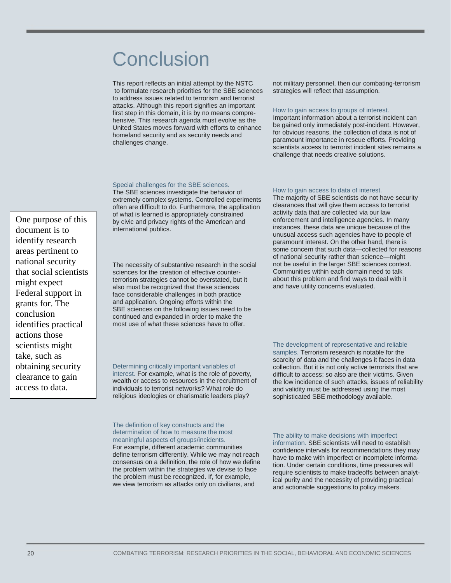### **Conclusion**

This report reflects an initial attempt by the NSTC to formulate research priorities for the SBE sciences to address issues related to terrorism and terrorist attacks. Although this report signifies an important first step in this domain, it is by no means comprehensive. This research agenda must evolve as the United States moves forward with efforts to enhance homeland security and as security needs and challenges change.

not military personnel, then our combating-terrorism strategies will reflect that assumption.

#### How to gain access to groups of interest.

Important information about a terrorist incident can be gained only immediately post-incident. However, for obvious reasons, the collection of data is not of paramount importance in rescue efforts. Providing scientists access to terrorist incident sites remains a challenge that needs creative solutions.

#### Special challenges for the SBE sciences.

The SBE sciences investigate the behavior of extremely complex systems. Controlled experiments often are difficult to do. Furthermore, the application of what is learned is appropriately constrained by civic and privacy rights of the American and international publics.

The necessity of substantive research in the social sciences for the creation of effective counterterrorism strategies cannot be overstated, but it also must be recognized that these sciences face considerable challenges in both practice and application. Ongoing efforts within the SBE sciences on the following issues need to be continued and expanded in order to make the most use of what these sciences have to offer.

#### Determining critically important variables of

interest. For example, what is the role of poverty, wealth or access to resources in the recruitment of individuals to terrorist networks? What role do religious ideologies or charismatic leaders play?

#### The definition of key constructs and the determination of how to measure the most meaningful aspects of groups/incidents. For example, different academic communities

define terrorism differently. While we may not reach consensus on a definition, the role of how we define the problem within the strategies we devise to face the problem must be recognized. If, for example, we view terrorism as attacks only on civilians, and

#### How to gain access to data of interest.

The majority of SBE scientists do not have security clearances that will give them access to terrorist activity data that are collected via our law enforcement and intelligence agencies. In many instances, these data are unique because of the unusual access such agencies have to people of paramount interest. On the other hand, there is some concern that such data—collected for reasons of national security rather than science—might not be useful in the larger SBE sciences context. Communities within each domain need to talk about this problem and find ways to deal with it and have utility concerns evaluated.

#### The development of representative and reliable samples. Terrorism research is notable for the scarcity of data and the challenges it faces in data collection. But it is not only active terrorists that are difficult to access; so also are their victims. Given the low incidence of such attacks, issues of reliability and validity must be addressed using the most sophisticated SBE methodology available.

The ability to make decisions with imperfect information. SBE scientists will need to establish confidence intervals for recommendations they may have to make with imperfect or incomplete information. Under certain conditions, time pressures will require scientists to make tradeoffs between analytical purity and the necessity of providing practical and actionable suggestions to policy makers.

One purpose of this document is to identify research areas pertinent to national security that social scientists might expect Federal support in grants for. The conclusion identifies practical actions those scientists might take, such as obtaining security clearance to gain access to data.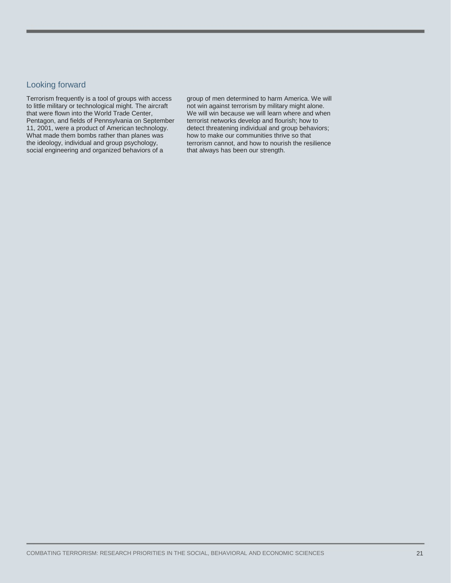#### Looking forward

Terrorism frequently is a tool of groups with access to little military or technological might. The aircraft that were flown into the World Trade Center, Pentagon, and fields of Pennsylvania on September 11, 2001, were a product of American technology. What made them bombs rather than planes was the ideology, individual and group psychology, social engineering and organized behaviors of a

group of men determined to harm America. We will not win against terrorism by military might alone. We will win because we will learn where and when terrorist networks develop and flourish; how to detect threatening individual and group behaviors; how to make our communities thrive so that terrorism cannot, and how to nourish the resilience that always has been our strength.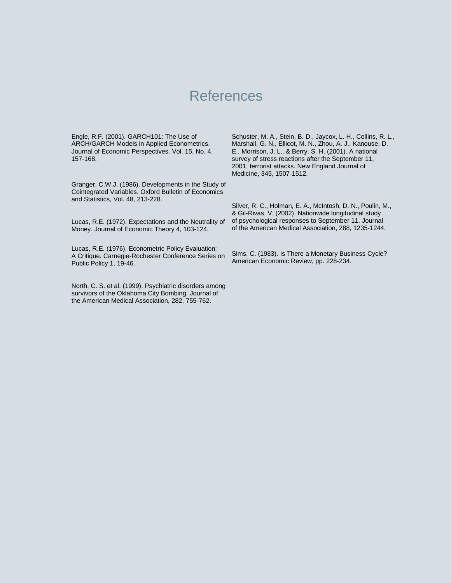### References

Engle, R.F. (2001). GARCH101: The Use of ARCH/GARCH Models in Applied Econometrics. Journal of Economic Perspectives. Vol. 15, No. 4, 157-168.

Granger, C.W.J. (1986). Developments in the Study of Cointegrated Variables. Oxford Bulletin of Economics and Statistics, Vol. 48, 213-228.

Lucas, R.E. (1972). Expectations and the Neutrality of Money. Journal of Economic Theory 4, 103-124.

Lucas, R.E. (1976). Econometric Policy Evaluation: A Critique. Carnegie-Rochester Conference Series on Public Policy 1, 19-46.

North, C. S. et al. (1999). Psychiatric disorders among survivors of the Oklahoma City Bombing. Journal of the American Medical Association, 282, 755-762.

Schuster, M. A., Stein, B. D., Jaycox, L. H., Collins, R. L., Marshall, G. N., Ellicot, M. N., Zhou, A. J., Kanouse, D. E., Morrison, J. L., & Berry, S. H. (2001). A national survey of stress reactions after the September 11, 2001, terrorist attacks. New England Journal of Medicine, 345, 1507-1512.

Silver, R. C., Holman, E. A., McIntosh, D. N., Poulin, M., & Gil-Rivas, V. (2002). Nationwide longitudinal study of psychological responses to September 11. Journal of the American Medical Association, 288, 1235-1244.

Sims, C. (1983). Is There a Monetary Business Cycle? American Economic Review, pp. 228-234.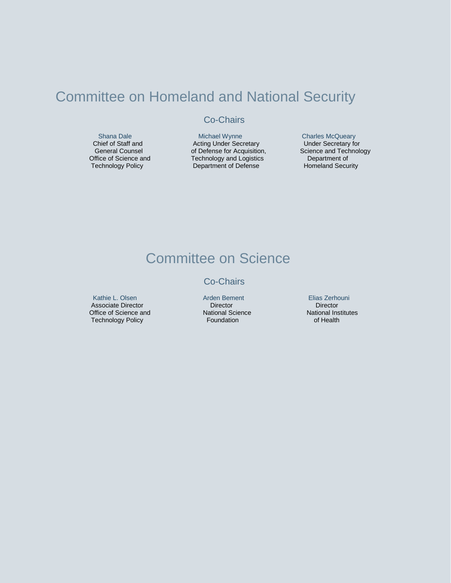### Committee on Homeland and National Security

### Co-Chairs

 Shana Dale Chief of Staff and General Counsel Office of Science and Technology Policy

 Michael Wynne Acting Under Secretary of Defense for Acquisition, Technology and Logistics Department of Defense

Charles McQueary Under Secretary for Science and Technology Department of Homeland Security

### Committee on Science

#### Co-Chairs

 Kathie L. Olsen Associate Director Office of Science and Technology Policy

Arden Bement **Director** National Science Foundation

Elias Zerhouni Director National Institutes of Health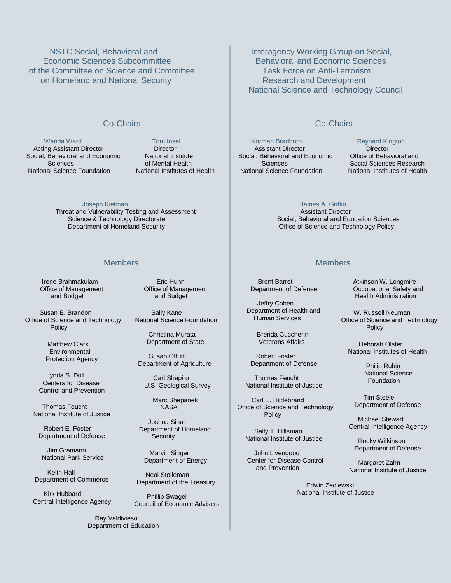NSTC Social, Behavioral and Economic Sciences Subcommittee of the Committee on Science and Committee on Homeland and National Security

#### Co-Chairs

 Wanda Ward Acting Assistant Director Social, Behavioral and Economic Sciences National Science Foundation

 Tom Insel **Director**  National Institute of Mental Health National Institutes of Health

 Joseph Kielman Threat and Vulnerability Testing and Assessment Science & Technology Directorate Department of Homeland Security

#### Members

Irene Brahmakulam Office of Management and Budget

 Susan E. Brandon Office of Science and Technology Policy

> Matthew Clark Environmental Protection Agency

 Lynda S. Doll Centers for Disease Control and Prevention

 Thomas Feucht National Institute of Justice

 Robert E. Foster Department of Defense

 Jim Gramann National Park Service

 Keith Hall Department of Commerce

 Kirk Hubbard Central Intelligence Agency

> Ray Valdivieso Department of Education

 Eric Hunn Office of Management and Budget

 Sally Kane National Science Foundation

> Christina Murata Department of State

 Susan Offutt Department of Agriculture

 Carl Shapiro U.S. Geological Survey

> Marc Shepanek **NASA**

 Joshua Sinai Department of Homeland **Security** 

 Marvin Singer Department of Energy

 Neal Stolleman Department of the Treasury

 Phillip Swagel Council of Economic Advisers

Interagency Working Group on Social, Behavioral and Economic Sciences Task Force on Anti-Terrorism Research and Development National Science and Technology Council

#### Co-Chairs

 Norman Bradburn Assistant Director Social, Behavioral and Economic Sciences National Science Foundation

Raynard Kington

**Director** Office of Behavioral and Social Sciences Research National Institutes of Health

James A. Griffin

 Assistant Director Social, Behavioral and Education Sciences Office of Science and Technology Policy

#### Members

 Brent Barret Department of Defense

 Jeffry Cohen Department of Health and Human Services

> Brenda Cuccherini Veterans Affairs

 Robert Foster Department of Defense

 Thomas Feucht National Institute of Justice

 Carl E. Hildebrand Office of Science and Technology Policy

 Sally T. Hillsman National Institute of Justice

 John Livengood Center for Disease Control and Prevention

Atkinson W. Longmire Occupational Safety and Health Administration

 W. Russell Neuman Office of Science and Technology Policy

 Deborah Olster National Institutes of Health

> Philip Rubin National Science Foundation

 Tim Steele Department of Defense

 Michael Stewart Central Intelligence Agency

 Rocky Wilkinson Department of Defense

 Margaret Zahn National Institute of Justice

 Edwin Zedlewski National Institute of Justice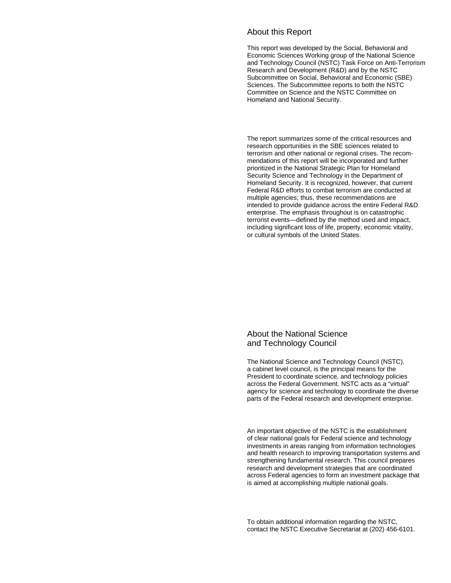#### About this Report

This report was developed by the Social, Behavioral and Economic Sciences Working group of the National Science and Technology Council (NSTC) Task Force on Anti-Terrorism Research and Development (R&D) and by the NSTC Subcommittee on Social, Behavioral and Economic (SBE) Sciences. The Subcommittee reports to both the NSTC Committee on Science and the NSTC Committee on Homeland and National Security.

The report summarizes some of the critical resources and research opportunities in the SBE sciences related to terrorism and other national or regional crises. The recommendations of this report will be incorporated and further prioritized in the National Strategic Plan for Homeland Security Science and Technology in the Department of Homeland Security. It is recognized, however, that current Federal R&D efforts to combat terrorism are conducted at multiple agencies; thus, these recommendations are intended to provide guidance across the entire Federal R&D enterprise. The emphasis throughout is on catastrophic terrorist events—defined by the method used and impact, including significant loss of life, property, economic vitality, or cultural symbols of the United States.

#### About the National Science and Technology Council

The National Science and Technology Council (NSTC), a cabinet level council, is the principal means for the President to coordinate science, and technology policies across the Federal Government. NSTC acts as a "virtual" agency for science and technology to coordinate the diverse parts of the Federal research and development enterprise.

An important objective of the NSTC is the establishment of clear national goals for Federal science and technology investments in areas ranging from information technologies and health research to improving transportation systems and strengthening fundamental research. This council prepares research and development strategies that are coordinated across Federal agencies to form an investment package that is aimed at accomplishing multiple national goals.

To obtain additional information regarding the NSTC, contact the NSTC Executive Secretariat at (202) 456-6101.